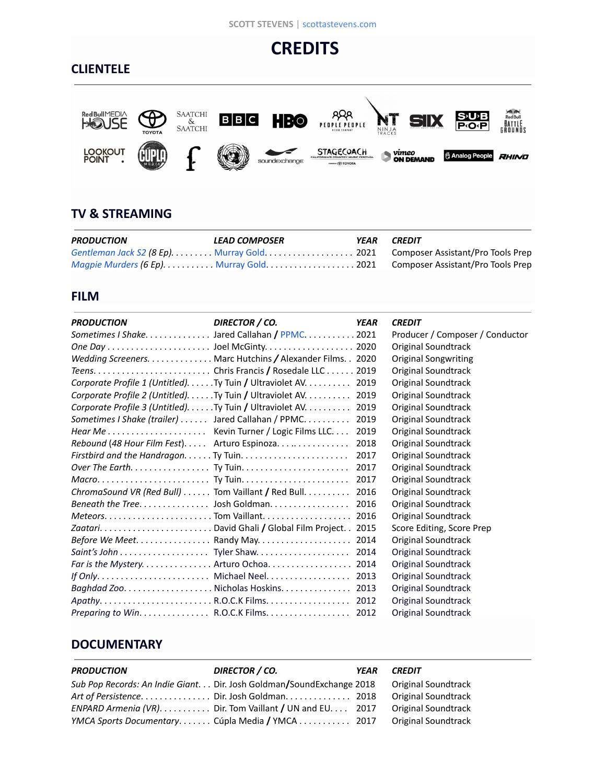#### **SCOTT STEVENS** | [scottastevens.com](http://www.scottastevens.com)

# **CREDITS**

## **CLIENTELE**



## **TV & STREAMING**

| <b>PRODUCTION</b> | LEAD COMPOSER | <b>YEAR CREDIT</b> |                                                                               |
|-------------------|---------------|--------------------|-------------------------------------------------------------------------------|
|                   |               |                    | Gentleman Jack S2 (8 Ep). Murray Gold. 2021 Composer Assistant/Pro Tools Prep |
|                   |               |                    | Magpie Murders (6 Ep). Murray Gold. 2021 Composer Assistant/Pro Tools Prep    |

### **FILM**

| <b>PRODUCTION</b>                           | DIRECTOR / CO.                                             | <b>YEAR</b> | <b>CREDIT</b>                   |
|---------------------------------------------|------------------------------------------------------------|-------------|---------------------------------|
|                                             | Sometimes I Shake. Jared Callahan / PPMC. 2021             |             | Producer / Composer / Conductor |
|                                             |                                                            | 2020        | Original Soundtrack             |
|                                             | Wedding Screeners. Marc Hutchins / Alexander Films. . 2020 |             | <b>Original Songwriting</b>     |
|                                             |                                                            | 2019        | Original Soundtrack             |
|                                             | Corporate Profile 1 (Untitled). Ty Tuin / Ultraviolet AV.  | 2019        | Original Soundtrack             |
|                                             | Corporate Profile 2 (Untitled)Ty Tuin / Ultraviolet AV     | 2019        | Original Soundtrack             |
|                                             | Corporate Profile 3 (Untitled). Ty Tuin / Ultraviolet AV.  | 2019        | <b>Original Soundtrack</b>      |
|                                             | Sometimes I Shake (trailer) Jared Callahan / PPMC.         | 2019        | Original Soundtrack             |
|                                             |                                                            | 2019        | <b>Original Soundtrack</b>      |
| Rebound (48 Hour Film Fest) Arturo Espinoza |                                                            | 2018        | Original Soundtrack             |
|                                             |                                                            | 2017        | Original Soundtrack             |
|                                             |                                                            | 2017        | Original Soundtrack             |
|                                             |                                                            | 2017        | Original Soundtrack             |
|                                             | ChromaSound VR (Red Bull) Tom Vaillant / Red Bull.         | 2016        | Original Soundtrack             |
|                                             | Beneath the Tree. Josh Goldman.                            | 2016        | <b>Original Soundtrack</b>      |
|                                             |                                                            | 2016        | Original Soundtrack             |
|                                             |                                                            | 2015        | Score Editing, Score Prep       |
|                                             | Before We Meet Randy May                                   | 2014        | Original Soundtrack             |
|                                             |                                                            | 2014        | Original Soundtrack             |
|                                             |                                                            | 2014        | Original Soundtrack             |
|                                             |                                                            | 2013        | Original Soundtrack             |
|                                             |                                                            | 2013        | <b>Original Soundtrack</b>      |
|                                             |                                                            | 2012        | Original Soundtrack             |
|                                             | Preparing to Win. R.O.C.K Films.                           | 2012        | <b>Original Soundtrack</b>      |

## **DOCUMENTARY**

| <b>PRODUCTION</b> | DIRECTOR / CO.                                                                       | YEAR | <b>CREDIT</b>       |
|-------------------|--------------------------------------------------------------------------------------|------|---------------------|
|                   | Sub Pop Records: An Indie Giant. Dir. Josh Goldman/SoundExchange 2018                |      | Original Soundtrack |
|                   |                                                                                      |      | Original Soundtrack |
|                   | ENPARD Armenia (VR). $\dots$ . $\dots$ . Dir. Tom Vaillant / UN and EU. $\dots$ 2017 |      | Original Soundtrack |
|                   | YMCA Sports Documentary Cúpla Media / YMCA  2017 Original Soundtrack                 |      |                     |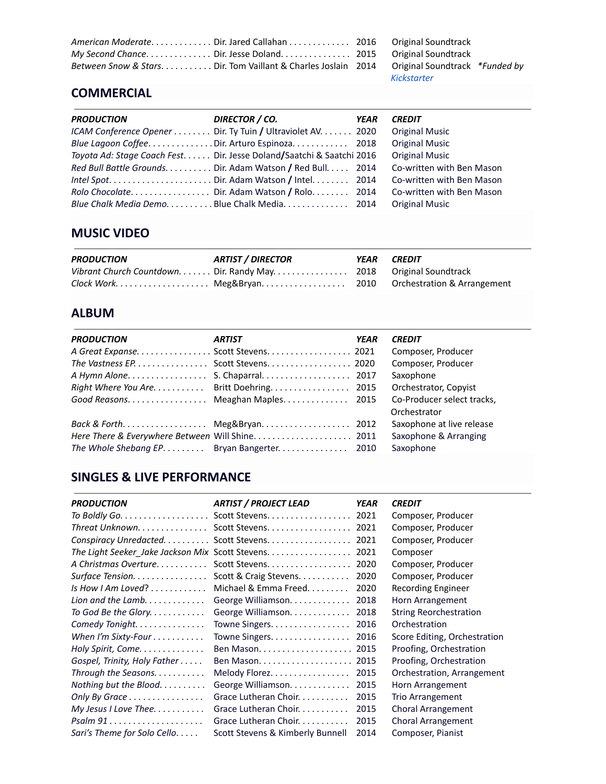| Between Snow & Stars Dir. Tom Vaillant & Charles Joslain 2014 Original Soundtrack *Funded by |             |  |
|----------------------------------------------------------------------------------------------|-------------|--|
|                                                                                              | Kickstarter |  |

## **COMMERCIAL**

| Co-written with Ben Mason |
|---------------------------|
| Co-written with Ben Mason |
| Co-written with Ben Mason |
|                           |
|                           |

## **MUSIC VIDEO**

| <b>PRODUCTION</b> | <b>ARTIST / DIRECTOR</b>                                            | YEAR CREDIT |
|-------------------|---------------------------------------------------------------------|-------------|
|                   | Vibrant Church Countdown. Dir. Randy May. 2018  Original Soundtrack |             |
|                   |                                                                     |             |

## **ALBUM**

| <b>PRODUCTION</b>                           | <b>ARTIST</b>                        | YEAR | <b>CREDIT</b>              |
|---------------------------------------------|--------------------------------------|------|----------------------------|
| A Great Expanse. Scott Stevens. 2021        |                                      |      | Composer, Producer         |
|                                             | The Vastness EP. Scott Stevens. 2020 |      | Composer, Producer         |
|                                             |                                      |      | Saxophone                  |
| Right Where You Are. Britt Doehring. 2015   |                                      |      | Orchestrator, Copyist      |
| Good Reasons. Meaghan Maples. 2015          |                                      |      | Co-Producer select tracks, |
|                                             |                                      |      | Orchestrator               |
| Back & Forth Meg&Bryan 2012                 |                                      |      | Saxophone at live release  |
|                                             |                                      |      | Saxophone & Arranging      |
| The Whole Shebang EP. Bryan Bangerter. 2010 |                                      |      | Saxophone                  |

## **SINGLES & LIVE PERFORMANCE**

| <b>PRODUCTION</b>                             | <b>ARTIST / PROJECT LEAD</b>                    | YEAR | <b>CREDIT</b>                 |
|-----------------------------------------------|-------------------------------------------------|------|-------------------------------|
|                                               |                                                 |      | Composer, Producer            |
|                                               | Threat Unknown Scott Stevens 2021               |      | Composer, Producer            |
| Conspiracy Unredacted.                        | Scott Stevens.                                  | 2021 | Composer, Producer            |
|                                               | The Light Seeker Jake Jackson Mix Scott Stevens | 2021 | Composer                      |
| A Christmas Overture                          | Scott Stevens.                                  | 2020 | Composer, Producer            |
| Surface Tension.                              | Scott & Craig Stevens.                          | 2020 | Composer, Producer            |
| Is How I Am Loved? $\dots\dots\dots\dots$     | Michael & Emma Freed.                           | 2020 | Recording Engineer            |
| Lion and the Lamb. $\ldots \ldots \ldots$     | George Williamson.                              | 2018 | Horn Arrangement              |
| To God Be the Glory.                          | George Williamson                               | 2018 | <b>String Reorchestration</b> |
| Comedy Tonight.                               | Towne Singers.                                  | 2016 | Orchestration                 |
| When I'm Sixty-Four                           | Towne Singers.                                  | 2016 | Score Editing, Orchestration  |
| Holy Spirit, Come                             |                                                 | 2015 | Proofing, Orchestration       |
| Gospel, Trinity, Holy Father                  |                                                 | 2015 | Proofing, Orchestration       |
| Through the Seasons. $\ldots \ldots \ldots$   | Melody Florez.                                  | 2015 | Orchestration, Arrangement    |
| Nothing but the Blood.                        | George Williamson.                              | 2015 | Horn Arrangement              |
| Only By Grace                                 | Grace Lutheran Choir.                           | 2015 | Trio Arrangement              |
| My Jesus I Love Thee                          | Grace Lutheran Choir.                           | 2015 | <b>Choral Arrangement</b>     |
| $Psalm 91 \ldots \ldots \ldots \ldots \ldots$ | Grace Lutheran Choir.                           | 2015 | <b>Choral Arrangement</b>     |
| Sari's Theme for Solo Cello                   | Scott Stevens & Kimberly Bunnell                | 2014 | Composer, Pianist             |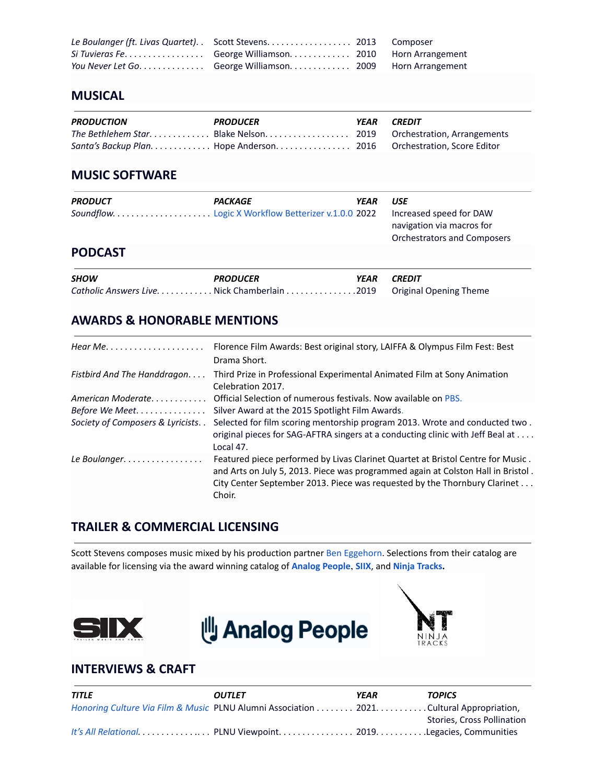| You Never Let Go. George Williamson. 2009 Horn Arrangement |  |
|------------------------------------------------------------|--|

#### **MUSICAL**

| <b>PRODUCTION</b> | <b>PRODUCER</b>                                                        | <b>YEAR CREDIT</b> |  |
|-------------------|------------------------------------------------------------------------|--------------------|--|
|                   |                                                                        |                    |  |
|                   | Santa's Backup Plan. Hope Anderson. 2016   Orchestration, Score Editor |                    |  |

### **MUSIC SOFTWARE**

| <b>PRODUCT</b> | <b>PACKAGE</b>                               | <b>YEAR</b> | <b>USE</b><br>Increased speed for DAW<br>navigation via macros for<br><b>Orchestrators and Composers</b> |
|----------------|----------------------------------------------|-------------|----------------------------------------------------------------------------------------------------------|
| <b>PODCAST</b> |                                              |             |                                                                                                          |
| <b>SHOW</b>    | <b>PRODUCER</b>                              | <b>YEAR</b> | <b>CREDIT</b>                                                                                            |
|                | Catholic Answers Live. Nick Chamberlain 2019 |             | <b>Original Opening Theme</b>                                                                            |

### **AWARDS & HONORABLE MENTIONS**

| Hear Me. $\dots \dots \dots \dots \dots \dots \dots$ | Florence Film Awards: Best original story, LAIFFA & Olympus Film Fest: Best<br>Drama Short.                                                                                                                                                                |
|------------------------------------------------------|------------------------------------------------------------------------------------------------------------------------------------------------------------------------------------------------------------------------------------------------------------|
| Fistbird And The Handdragon                          | Third Prize in Professional Experimental Animated Film at Sony Animation<br>Celebration 2017.                                                                                                                                                              |
| American Moderate                                    | Official Selection of numerous festivals. Now available on PBS.                                                                                                                                                                                            |
| Before We Meet                                       | Silver Award at the 2015 Spotlight Film Awards.                                                                                                                                                                                                            |
| Society of Composers & Lyricists. .                  | Selected for film scoring mentorship program 2013. Wrote and conducted two.<br>original pieces for SAG-AFTRA singers at a conducting clinic with Jeff Beal at<br>Local 47.                                                                                 |
| Le Boulanger.                                        | Featured piece performed by Livas Clarinet Quartet at Bristol Centre for Music.<br>and Arts on July 5, 2013. Piece was programmed again at Colston Hall in Bristol.<br>City Center September 2013. Piece was requested by the Thornbury Clarinet<br>Choir. |

## **TRAILER & COMMERCIAL LICENSING**

Scott Stevens composes music mixed by his production partner Ben [Eggehorn](https://www.beneggehorn.com/). Selections from their catalog are available for licensing via the award winning catalog of **[Analog](https://analogpeople.tv/) People**, **[SIIX](https://siixmusic.com/)**, and **Ninja [Tracks](https://www.ninjatracks.com/).**







### **INTERVIEWS & CRAFT**

| <b>TITLE</b> | <b>OUTLET</b>                                                                           | YEAR | <b>TOPICS</b>              |
|--------------|-----------------------------------------------------------------------------------------|------|----------------------------|
|              | Honoring Culture Via Film & Music PLNU Alumni Association 2021. Cultural Appropriation, |      |                            |
|              |                                                                                         |      | Stories, Cross Pollination |
|              | It's All Relational. PLNU Viewpoint. 2019. Legacies, Communities                        |      |                            |